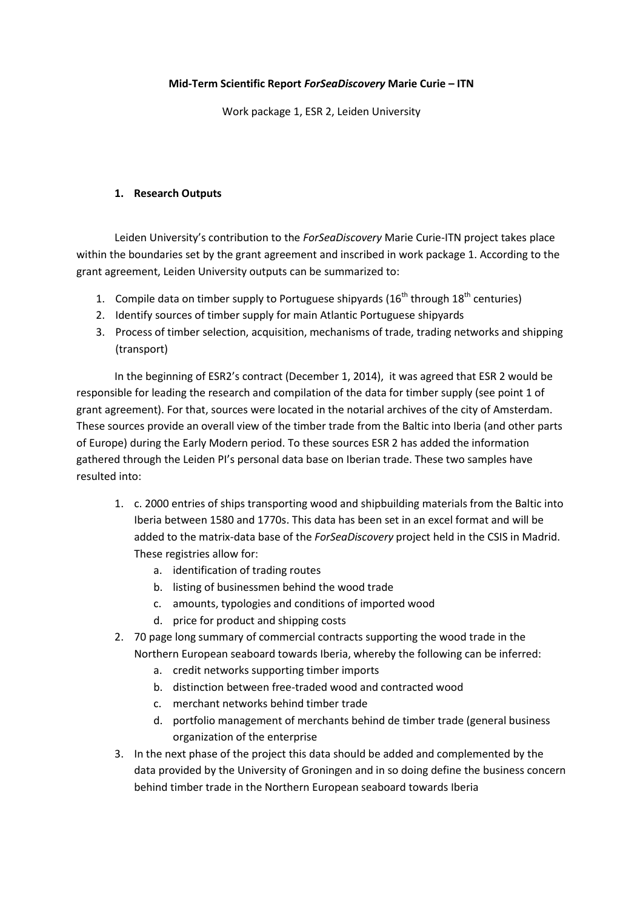## **Mid-Term Scientific Report** *ForSeaDiscovery* **Marie Curie – ITN**

Work package 1, ESR 2, Leiden University

## **1. Research Outputs**

Leiden University's contribution to the *ForSeaDiscovery* Marie Curie-ITN project takes place within the boundaries set by the grant agreement and inscribed in work package 1. According to the grant agreement, Leiden University outputs can be summarized to:

- 1. Compile data on timber supply to Portuguese shipyards  $(16<sup>th</sup>$  through  $18<sup>th</sup>$  centuries)
- 2. Identify sources of timber supply for main Atlantic Portuguese shipyards
- 3. Process of timber selection, acquisition, mechanisms of trade, trading networks and shipping (transport)

In the beginning of ESR2's contract (December 1, 2014), it was agreed that ESR 2 would be responsible for leading the research and compilation of the data for timber supply (see point 1 of grant agreement). For that, sources were located in the notarial archives of the city of Amsterdam. These sources provide an overall view of the timber trade from the Baltic into Iberia (and other parts of Europe) during the Early Modern period. To these sources ESR 2 has added the information gathered through the Leiden PI's personal data base on Iberian trade. These two samples have resulted into:

- 1. c. 2000 entries of ships transporting wood and shipbuilding materials from the Baltic into Iberia between 1580 and 1770s. This data has been set in an excel format and will be added to the matrix-data base of the *ForSeaDiscovery* project held in the CSIS in Madrid. These registries allow for:
	- a. identification of trading routes
	- b. listing of businessmen behind the wood trade
	- c. amounts, typologies and conditions of imported wood
	- d. price for product and shipping costs
- 2. 70 page long summary of commercial contracts supporting the wood trade in the Northern European seaboard towards Iberia, whereby the following can be inferred:
	- a. credit networks supporting timber imports
	- b. distinction between free-traded wood and contracted wood
	- c. merchant networks behind timber trade
	- d. portfolio management of merchants behind de timber trade (general business organization of the enterprise
- 3. In the next phase of the project this data should be added and complemented by the data provided by the University of Groningen and in so doing define the business concern behind timber trade in the Northern European seaboard towards Iberia